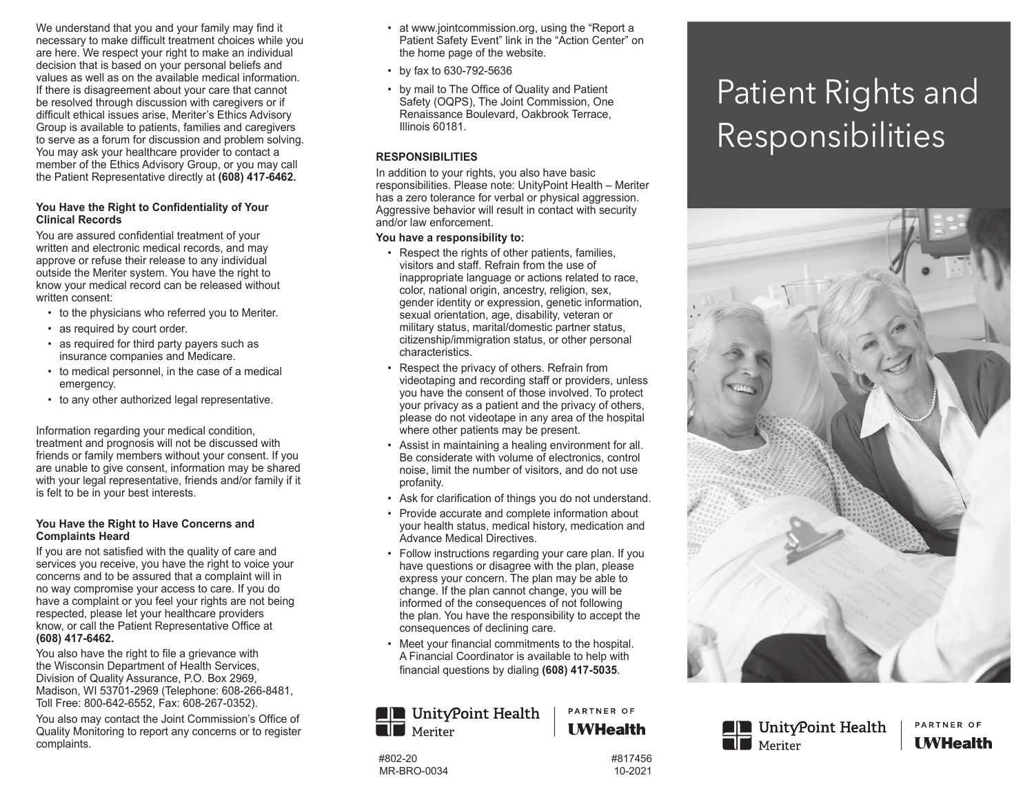We understand that you and your family may find it necessary to make difficult treatment choices while you are here. We respect your right to make an individual decision that is based on your personal beliefs and values as well as on the available medical information. If there is disagreement about your care that cannot be resolved through discussion with caregivers or if difficult ethical issues arise, Meriter's Ethics Advisory Group is available to patients, families and caregivers to serve as a forum for discussion and problem solving. You may ask your healthcare provider to contact a member of the Ethics Advisory Group, or you may call the Patient Representative directly at **(608) 417-6462.**

## **You Have the Right to Confidentiality of Your Clinical Records**

You are assured confidential treatment of your written and electronic medical records, and may approve or refuse their release to any individual outside the Meriter system. You have the right to know your medical record can be released without written consent:

- to the physicians who referred you to Meriter.
- as required by court order.
- as required for third party payers such as insurance companies and Medicare.
- to medical personnel, in the case of a medical emergency.
- to any other authorized legal representative.

Information regarding your medical condition, treatment and prognosis will not be discussed with friends or family members without your consent. If you are unable to give consent, information may be shared with your legal representative, friends and/or family if it is felt to be in your best interests.

## **You Have the Right to Have Concerns and Complaints Heard**

If you are not satisfied with the quality of care and services you receive, you have the right to voice your concerns and to be assured that a complaint will in no way compromise your access to care. If you do have a complaint or you feel your rights are not being respected, please let your healthcare providers know, or call the Patient Representative Office at **(608) 417-6462.**

You also have the right to file a grievance with the Wisconsin Department of Health Services, Division of Quality Assurance, P.O. Box 2969, Madison, WI 53701-2969 (Telephone: 608-266-8481, Toll Free: 800-642-6552, Fax: 608-267-0352).

You also may contact the Joint Commission's Office of Quality Monitoring to report any concerns or to register complaints.

- at www.jointcommission.org, using the "Report a Patient Safety Event" link in the "Action Center" on the home page of the website.
- by fax to 630-792-5636
- by mail to The Office of Quality and Patient Safety (OQPS), The Joint Commission, One Renaissance Boulevard, Oakbrook Terrace, Illinois 60181.

## **RESPONSIBILITIES**

In addition to your rights, you also have basic responsibilities. Please note: UnityPoint Health – Meriter has a zero tolerance for verbal or physical aggression. Aggressive behavior will result in contact with security and/or law enforcement.

## **You have a responsibility to:**

- Respect the rights of other patients, families, visitors and staff. Refrain from the use of inappropriate language or actions related to race, color, national origin, ancestry, religion, sex, gender identity or expression, genetic information, sexual orientation, age, disability, veteran or military status, marital/domestic partner status, citizenship/immigration status, or other personal characteristics.
- Respect the privacy of others. Refrain from videotaping and recording staff or providers, unless you have the consent of those involved. To protect your privacy as a patient and the privacy of others, please do not videotape in any area of the hospital where other patients may be present.
- Assist in maintaining a healing environment for all. Be considerate with volume of electronics, control noise, limit the number of visitors, and do not use profanity.
- Ask for clarification of things you do not understand.
- Provide accurate and complete information about your health status, medical history, medication and Advance Medical Directives.
- Follow instructions regarding your care plan. If you have questions or disagree with the plan, please express your concern. The plan may be able to change. If the plan cannot change, you will be informed of the consequences of not following the plan. You have the responsibility to accept the consequences of declining care.
- Meet your financial commitments to the hospital. A Financial Coordinator is available to help with financial questions by dialing **(608) 417-5035**.

### **IN** UnityPoint Health PARTNER OF **I** WHealth

## #802-20 #817456 MR-BRO-0034 10-2021

 $\blacksquare$  Meriter



# Patient Rights and Responsibilities



**IN** UnityPoint Health  $\blacksquare$  Meriter

PARTNER OF **I** WHealth